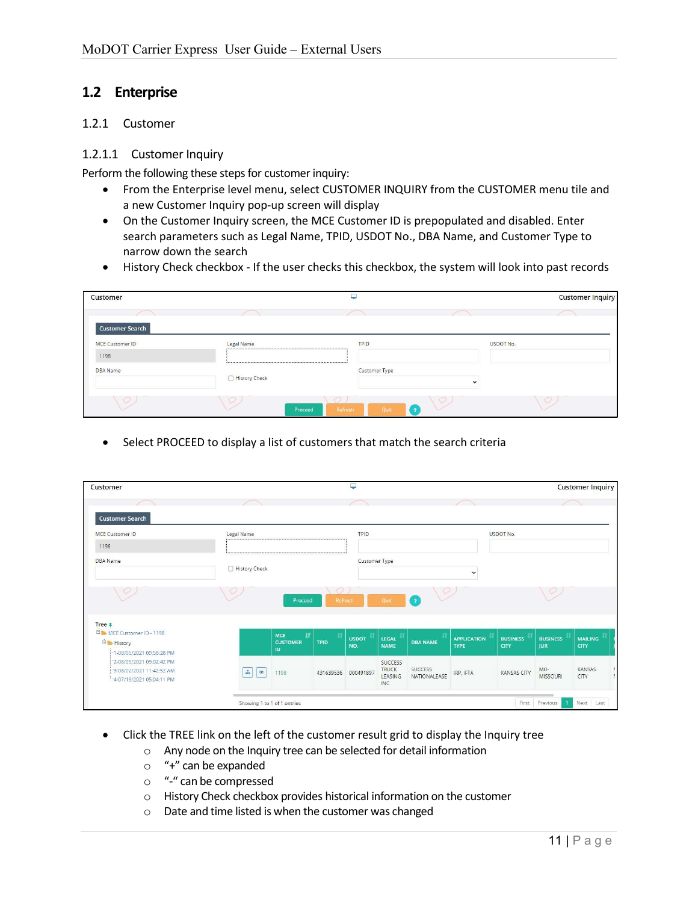# 1.2 Enterprise

#### 1.2.1 Customer

#### 1.2.1.1 Customer Inquiry

Perform the following these steps for customer inquiry:

- From the Enterprise level menu, select CUSTOMER INQUIRY from the CUSTOMER menu tile and a new Customer Inquiry pop-up screen will display
- On the Customer Inquiry screen, the MCE Customer ID is prepopulated and disabled. Enter search parameters such as Legal Name, TPID, USDOT No., DBA Name, and Customer Type to narrow down the search
- History Check checkbox If the user checks this checkbox, the system will look into past records

| <b>Customer</b>        |                    | پ                          |        | <b>Customer Inquiry</b> |
|------------------------|--------------------|----------------------------|--------|-------------------------|
| <b>Customer Search</b> |                    |                            |        |                         |
| <b>MCE Customer ID</b> | Legal Name         | TPID                       |        | <b>USDOT No.</b>        |
| 1198                   |                    |                            |        |                         |
| DBA Name               | History Check      | Customer Type              |        |                         |
| O.                     | $\circ$<br>Proceed | $\circ$<br>Refresh<br>Quit | v<br>× | $\circ$                 |

• Select PROCEED to display a list of customers that match the search criteria

| Customer                                                                          |                             |                                    |                    | پ                   |                                                  |                                |                                   |                         |                               | <b>Customer Inquiry</b> |
|-----------------------------------------------------------------------------------|-----------------------------|------------------------------------|--------------------|---------------------|--------------------------------------------------|--------------------------------|-----------------------------------|-------------------------|-------------------------------|-------------------------|
|                                                                                   |                             |                                    |                    |                     |                                                  |                                |                                   |                         |                               |                         |
| <b>Customer Search</b>                                                            |                             |                                    |                    |                     |                                                  |                                |                                   |                         |                               |                         |
| <b>MCE Customer ID</b>                                                            | Legal Name                  |                                    |                    | TPID                |                                                  |                                |                                   | USDOT No.               |                               |                         |
| 1198                                                                              |                             |                                    |                    |                     |                                                  |                                |                                   |                         |                               |                         |
| <b>DBA</b> Name                                                                   |                             |                                    |                    | Customer Type       |                                                  |                                |                                   |                         |                               |                         |
|                                                                                   | History Check               |                                    |                    |                     |                                                  |                                | $\check{ }$                       |                         |                               |                         |
| V                                                                                 |                             | Proceed                            | $\circ$<br>Refresh |                     | Quit                                             | ιY<br>$\sqrt{2}$               |                                   |                         |                               |                         |
| Tree <sub>#</sub>                                                                 |                             |                                    |                    |                     |                                                  |                                |                                   |                         |                               |                         |
| MCE Customer ID - 1198<br><b>Elabor</b> History<br>"1-08/05/2021 09:58:28 PM      |                             | MCE<br>W.<br><b>CUSTOMER</b><br>ID | <b>TPID</b>        | <b>USDOT</b><br>NO. | LEGAL<br><b>NAME</b>                             | <b>DBA NAME</b>                | <b>APPLICATION</b><br><b>TYPE</b> | <b>BUSINESS</b><br>CITY | <b>BUSINESS</b><br><b>JUR</b> | <b>MAILING</b><br>CITY  |
| 2-08/05/2021 09:02:42 PM<br>"3-08/02/2021 11:42:52 AM<br>4-07/19/2021 05:04:11 PM | $\Delta$<br>$\circ$         | 1198                               | 431639536          | 000491897           | <b>SUCCESS</b><br><b>TRUCK</b><br>LEASING<br>INC | <b>SUCCESS</b><br>NATIONALEASE | IRP, IFTA                         | <b>KANSAS CITY</b>      | MO-<br><b>MISSOURI</b>        | KANSAS<br>CITY          |
|                                                                                   | Showing 1 to 1 of 1 entries |                                    |                    |                     |                                                  |                                |                                   | First                   | Previous                      | Next<br>Last            |

- Click the TREE link on the left of the customer result grid to display the Inquiry tree
	- o Any node on the Inquiry tree can be selected for detail information
	- o "+" can be expanded
	- o "-" can be compressed
	- o History Check checkbox provides historical information on the customer
	- o Date and time listed is when the customer was changed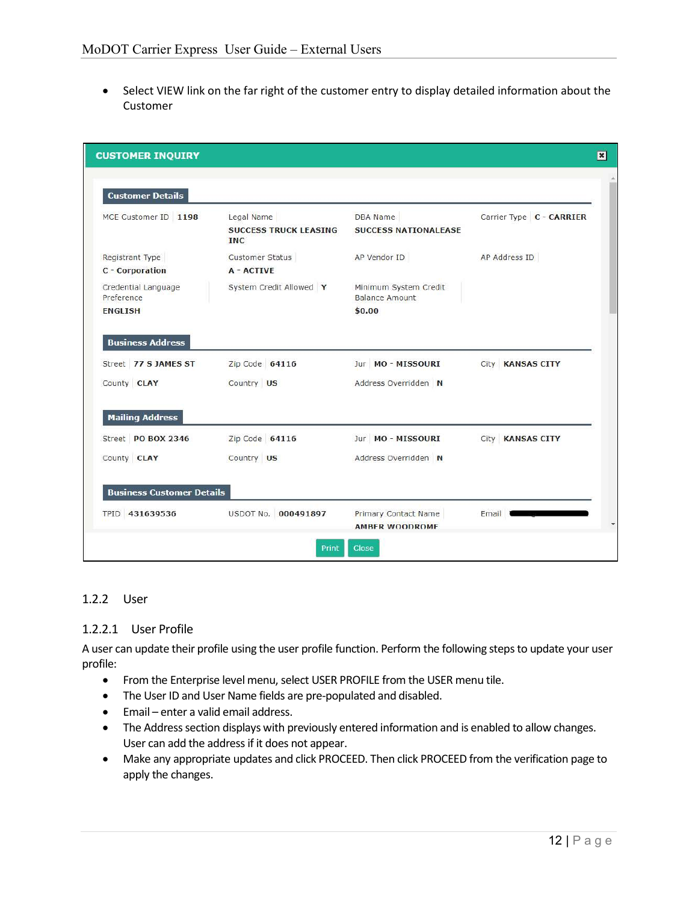Select VIEW link on the far right of the customer entry to display detailed information about the Customer

| <b>Customer Details</b>            |                                                          |                                                      |                          |
|------------------------------------|----------------------------------------------------------|------------------------------------------------------|--------------------------|
| MCE Customer ID 1198               | Legal Name<br><b>SUCCESS TRUCK LEASING</b><br><b>INC</b> | <b>DBA</b> Name<br><b>SUCCESS NATIONALEASE</b>       | Carrier Type C - CARRIER |
| Registrant Type<br>C - Corporation | <b>Customer Status</b><br>A - ACTIVE                     | AP Vendor ID                                         | AP Address ID            |
| Credential Language<br>Preference  | System Credit Allowed Y                                  | Minimum System Credit<br>Balance Amount              |                          |
| <b>ENGLISH</b>                     |                                                          | \$0.00                                               |                          |
| <b>Business Address</b>            |                                                          |                                                      |                          |
| Street 77 S JAMES ST               | Zip Code 64116                                           | Jur MO - MISSOURI                                    | City KANSAS CITY         |
| County CLAY                        | Country US                                               | Address Overridden N                                 |                          |
| <b>Mailing Address</b>             |                                                          |                                                      |                          |
| Street PO BOX 2346                 | Zip Code 64116                                           | Jur MO-MISSOURI                                      | City KANSAS CITY         |
| County CLAY                        | Country US                                               | Address Overridden N                                 |                          |
| <b>Business Customer Details</b>   |                                                          |                                                      |                          |
| TPID 431639536                     | USDOT No. 000491897                                      | <b>Primary Contact Name</b><br><b>AMBER WOODROMF</b> | Email                    |

### 1.2.2 User

### 1.2.2.1 User Profile

A user can update their profile using the user profile function. Perform the following steps to update your user profile:

- From the Enterprise level menu, select USER PROFILE from the USER menu tile.
- The User ID and User Name fields are pre-populated and disabled.
- Email enter a valid email address.
- The Address section displays with previously entered information and is enabled to allow changes. User can add the address if it does not appear.
- Make any appropriate updates and click PROCEED. Then click PROCEED from the verification page to apply the changes.